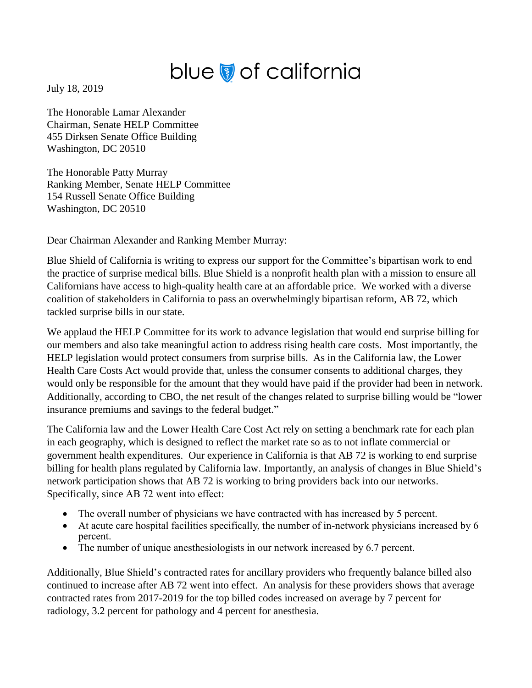## blue of california

July 18, 2019

The Honorable Lamar Alexander Chairman, Senate HELP Committee 455 Dirksen Senate Office Building Washington, DC 20510

The Honorable Patty Murray Ranking Member, Senate HELP Committee 154 Russell Senate Office Building Washington, DC 20510

Dear Chairman Alexander and Ranking Member Murray:

Blue Shield of California is writing to express our support for the Committee's bipartisan work to end the practice of surprise medical bills. Blue Shield is a nonprofit health plan with a mission to ensure all Californians have access to high-quality health care at an affordable price. We worked with a diverse coalition of stakeholders in California to pass an overwhelmingly bipartisan reform, AB 72, which tackled surprise bills in our state.

We applaud the HELP Committee for its work to advance legislation that would end surprise billing for our members and also take meaningful action to address rising health care costs. Most importantly, the HELP legislation would protect consumers from surprise bills. As in the California law, the Lower Health Care Costs Act would provide that, unless the consumer consents to additional charges, they would only be responsible for the amount that they would have paid if the provider had been in network. Additionally, according to CBO, the net result of the changes related to surprise billing would be "lower insurance premiums and savings to the federal budget."

The California law and the Lower Health Care Cost Act rely on setting a benchmark rate for each plan in each geography, which is designed to reflect the market rate so as to not inflate commercial or government health expenditures. Our experience in California is that AB 72 is working to end surprise billing for health plans regulated by California law. Importantly, an analysis of changes in Blue Shield's network participation shows that AB 72 is working to bring providers back into our networks. Specifically, since AB 72 went into effect:

- The overall number of physicians we have contracted with has increased by 5 percent.
- At acute care hospital facilities specifically, the number of in-network physicians increased by 6 percent.
- The number of unique anesthesiologists in our network increased by 6.7 percent.

Additionally, Blue Shield's contracted rates for ancillary providers who frequently balance billed also continued to increase after AB 72 went into effect. An analysis for these providers shows that average contracted rates from 2017-2019 for the top billed codes increased on average by 7 percent for radiology, 3.2 percent for pathology and 4 percent for anesthesia.